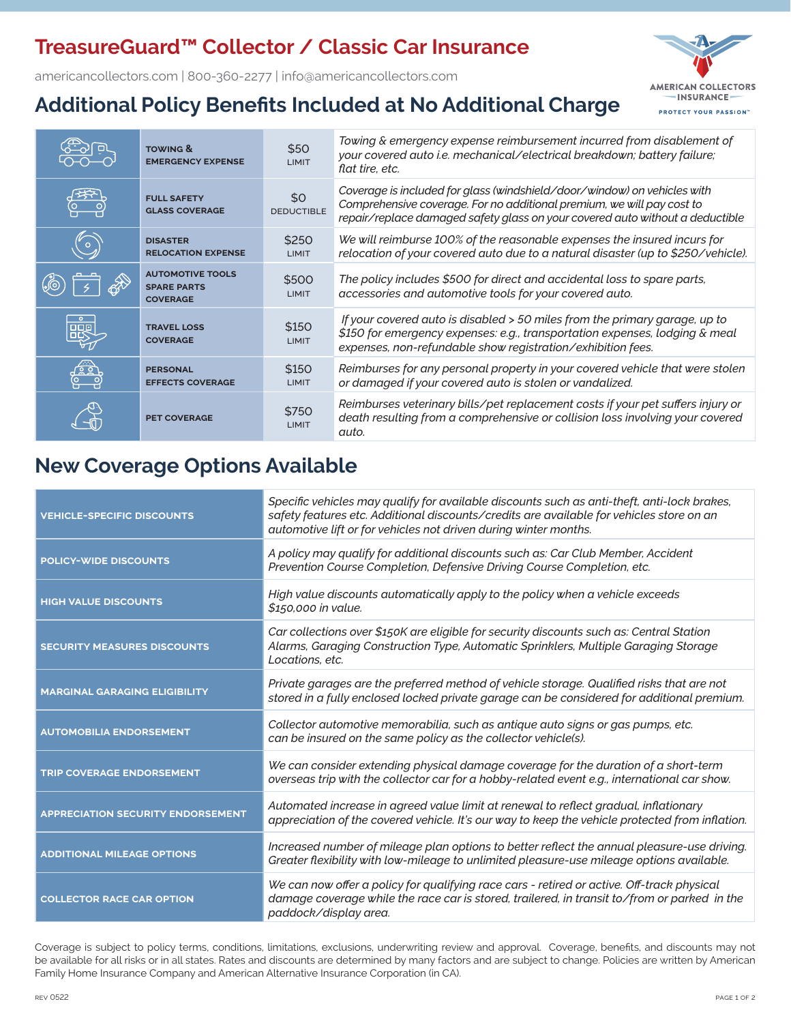## **TreasureGuard™ Collector / Classic Car Insurance**

americancollectors.com | 800-360-2277 | info@americancollectors.com



# **Additional Policy Benefits Included at No Additional Charge**

|                | <b>TOWING &amp;</b><br><b>EMERGENCY EXPENSE</b>                  | \$50<br>LIMIT            | Towing & emergency expense reimbursement incurred from disablement of<br>your covered auto i.e. mechanical/electrical breakdown; battery failure;<br>flat tire, etc.                                                                |
|----------------|------------------------------------------------------------------|--------------------------|-------------------------------------------------------------------------------------------------------------------------------------------------------------------------------------------------------------------------------------|
|                | <b>FULL SAFETY</b><br><b>GLASS COVERAGE</b>                      | \$0<br><b>DEDUCTIBLE</b> | Coverage is included for glass (windshield/door/window) on vehicles with<br>Comprehensive coverage. For no additional premium, we will pay cost to<br>repair/replace damaged safety glass on your covered auto without a deductible |
| $\bullet$      | <b>DISASTER</b><br><b>RELOCATION EXPENSE</b>                     | \$250<br>LIMIT           | We will reimburse 100% of the reasonable expenses the insured incurs for<br>relocation of your covered auto due to a natural disaster (up to \$250/vehicle).                                                                        |
|                | <b>AUTOMOTIVE TOOLS</b><br><b>SPARE PARTS</b><br><b>COVERAGE</b> | \$500<br>LIMIT           | The policy includes \$500 for direct and accidental loss to spare parts,<br>accessories and automotive tools for your covered auto.                                                                                                 |
| 009            | <b>TRAVEL LOSS</b><br><b>COVERAGE</b>                            | \$150<br>LIMIT           | If your covered auto is disabled > 50 miles from the primary garage, up to<br>\$150 for emergency expenses: e.g., transportation expenses, lodging & meal<br>expenses, non-refundable show registration/exhibition fees.            |
| ر شتم<br>فلسفه | <b>PERSONAL</b><br><b>EFFECTS COVERAGE</b>                       | \$150<br><b>LIMIT</b>    | Reimburses for any personal property in your covered vehicle that were stolen<br>or damaged if your covered auto is stolen or vandalized.                                                                                           |
|                | <b>PET COVERAGE</b>                                              | \$750<br>LIMIT           | Reimburses veterinary bills/pet replacement costs if your pet suffers injury or<br>death resulting from a comprehensive or collision loss involving your covered<br>auto.                                                           |

### **New Coverage Options Available**

| <b>VEHICLE-SPECIFIC DISCOUNTS</b>        | Specific vehicles may qualify for available discounts such as anti-theft, anti-lock brakes,<br>safety features etc. Additional discounts/credits are available for vehicles store on an<br>automotive lift or for vehicles not driven during winter months. |  |  |  |  |
|------------------------------------------|-------------------------------------------------------------------------------------------------------------------------------------------------------------------------------------------------------------------------------------------------------------|--|--|--|--|
| <b>POLICY-WIDE DISCOUNTS</b>             | A policy may qualify for additional discounts such as: Car Club Member, Accident<br>Prevention Course Completion, Defensive Driving Course Completion, etc.                                                                                                 |  |  |  |  |
| <b>HIGH VALUE DISCOUNTS</b>              | High value discounts automatically apply to the policy when a vehicle exceeds<br>\$150,000 in value.                                                                                                                                                        |  |  |  |  |
| <b>SECURITY MEASURES DISCOUNTS</b>       | Car collections over \$150K are eligible for security discounts such as: Central Station<br>Alarms, Garaging Construction Type, Automatic Sprinklers, Multiple Garaging Storage<br>Locations, etc.                                                          |  |  |  |  |
| <b>MARGINAL GARAGING ELIGIBILITY</b>     | Private garages are the preferred method of vehicle storage. Qualified risks that are not<br>stored in a fully enclosed locked private garage can be considered for additional premium.                                                                     |  |  |  |  |
| <b>AUTOMOBILIA ENDORSEMENT</b>           | Collector automotive memorabilia, such as antique auto signs or gas pumps, etc.<br>can be insured on the same policy as the collector vehicle(s).                                                                                                           |  |  |  |  |
| <b>TRIP COVERAGE ENDORSEMENT</b>         | We can consider extending physical damage coverage for the duration of a short-term<br>overseas trip with the collector car for a hobby-related event e.g., international car show.                                                                         |  |  |  |  |
| <b>APPRECIATION SECURITY ENDORSEMENT</b> | Automated increase in agreed value limit at renewal to reflect gradual, inflationary<br>appreciation of the covered vehicle. It's our way to keep the vehicle protected from inflation.                                                                     |  |  |  |  |
| <b>ADDITIONAL MILEAGE OPTIONS</b>        | Increased number of mileage plan options to better reflect the annual pleasure-use driving.<br>Greater flexibility with low-mileage to unlimited pleasure-use mileage options available.                                                                    |  |  |  |  |
| <b>COLLECTOR RACE CAR OPTION</b>         | We can now offer a policy for qualifying race cars - retired or active. Off-track physical<br>damage coverage while the race car is stored, trailered, in transit to/from or parked in the<br>paddock/display area.                                         |  |  |  |  |

Coverage is subject to policy terms, conditions, limitations, exclusions, underwriting review and approval. Coverage, benefits, and discounts may not be available for all risks or in all states. Rates and discounts are determined by many factors and are subject to change. Policies are written by American Family Home Insurance Company and American Alternative Insurance Corporation (in CA).